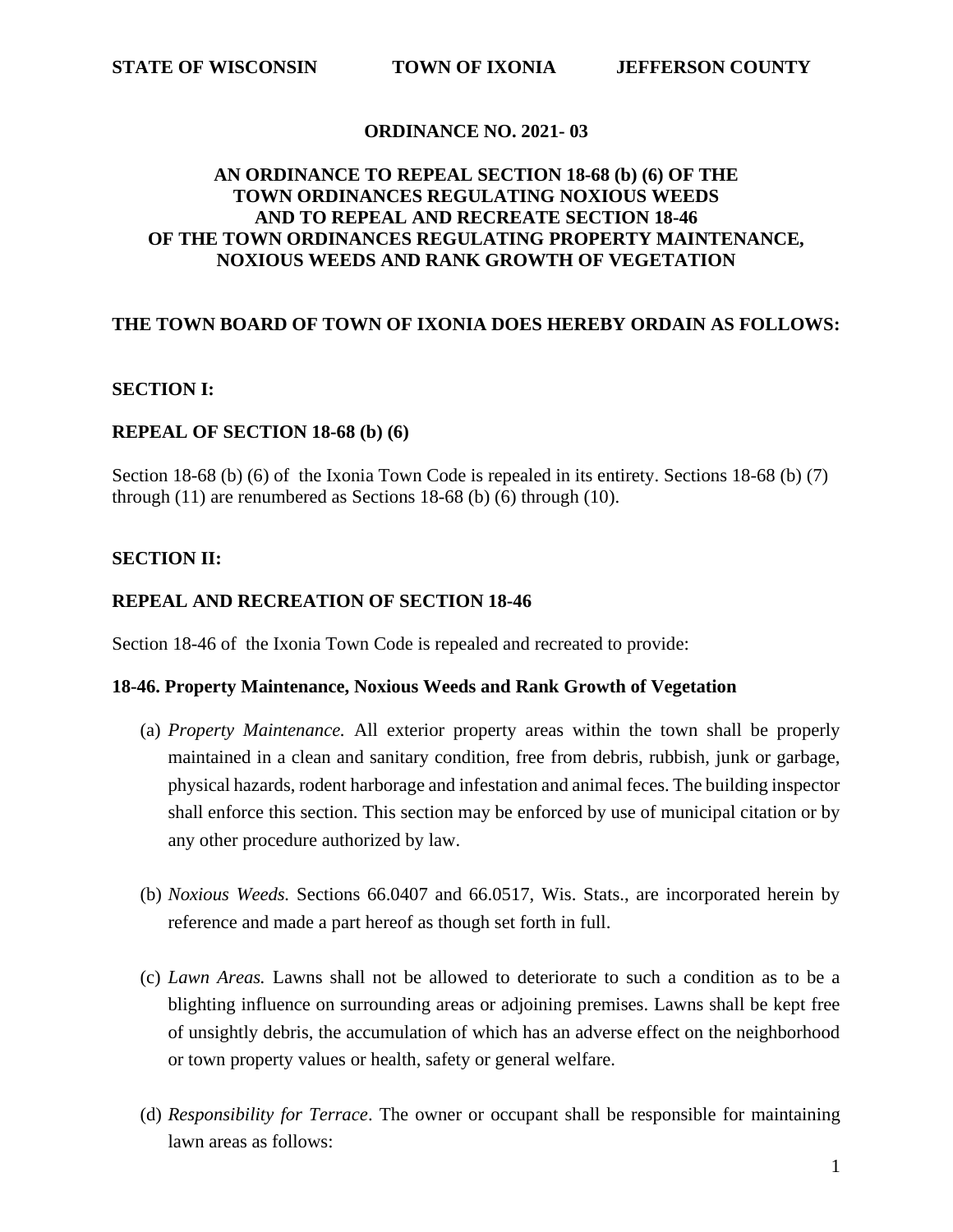## **ORDINANCE NO. 2021- 03**

## **AN ORDINANCE TO REPEAL SECTION 18-68 (b) (6) OF THE TOWN ORDINANCES REGULATING NOXIOUS WEEDS AND TO REPEAL AND RECREATE SECTION 18-46 OF THE TOWN ORDINANCES REGULATING PROPERTY MAINTENANCE, NOXIOUS WEEDS AND RANK GROWTH OF VEGETATION**

## **THE TOWN BOARD OF TOWN OF IXONIA DOES HEREBY ORDAIN AS FOLLOWS:**

## **SECTION I:**

### **REPEAL OF SECTION 18-68 (b) (6)**

Section 18-68 (b) (6) of the Ixonia Town Code is repealed in its entirety. Sections 18-68 (b) (7) through (11) are renumbered as Sections 18-68 (b) (6) through (10).

### **SECTION II:**

#### **REPEAL AND RECREATION OF SECTION 18-46**

Section 18-46 of the Ixonia Town Code is repealed and recreated to provide:

#### **18-46. Property Maintenance, Noxious Weeds and Rank Growth of Vegetation**

- (a) *Property Maintenance.* All exterior property areas within the town shall be properly maintained in a clean and sanitary condition, free from debris, rubbish, junk or garbage, physical hazards, rodent harborage and infestation and animal feces. The building inspector shall enforce this section. This section may be enforced by use of municipal citation or by any other procedure authorized by law.
- (b) *Noxious Weeds.* Sections 66.0407 and 66.0517, Wis. Stats., are incorporated herein by reference and made a part hereof as though set forth in full.
- (c) *Lawn Areas.* Lawns shall not be allowed to deteriorate to such a condition as to be a blighting influence on surrounding areas or adjoining premises. Lawns shall be kept free of unsightly debris, the accumulation of which has an adverse effect on the neighborhood or town property values or health, safety or general welfare.
- (d) *Responsibility for Terrace*. The owner or occupant shall be responsible for maintaining lawn areas as follows: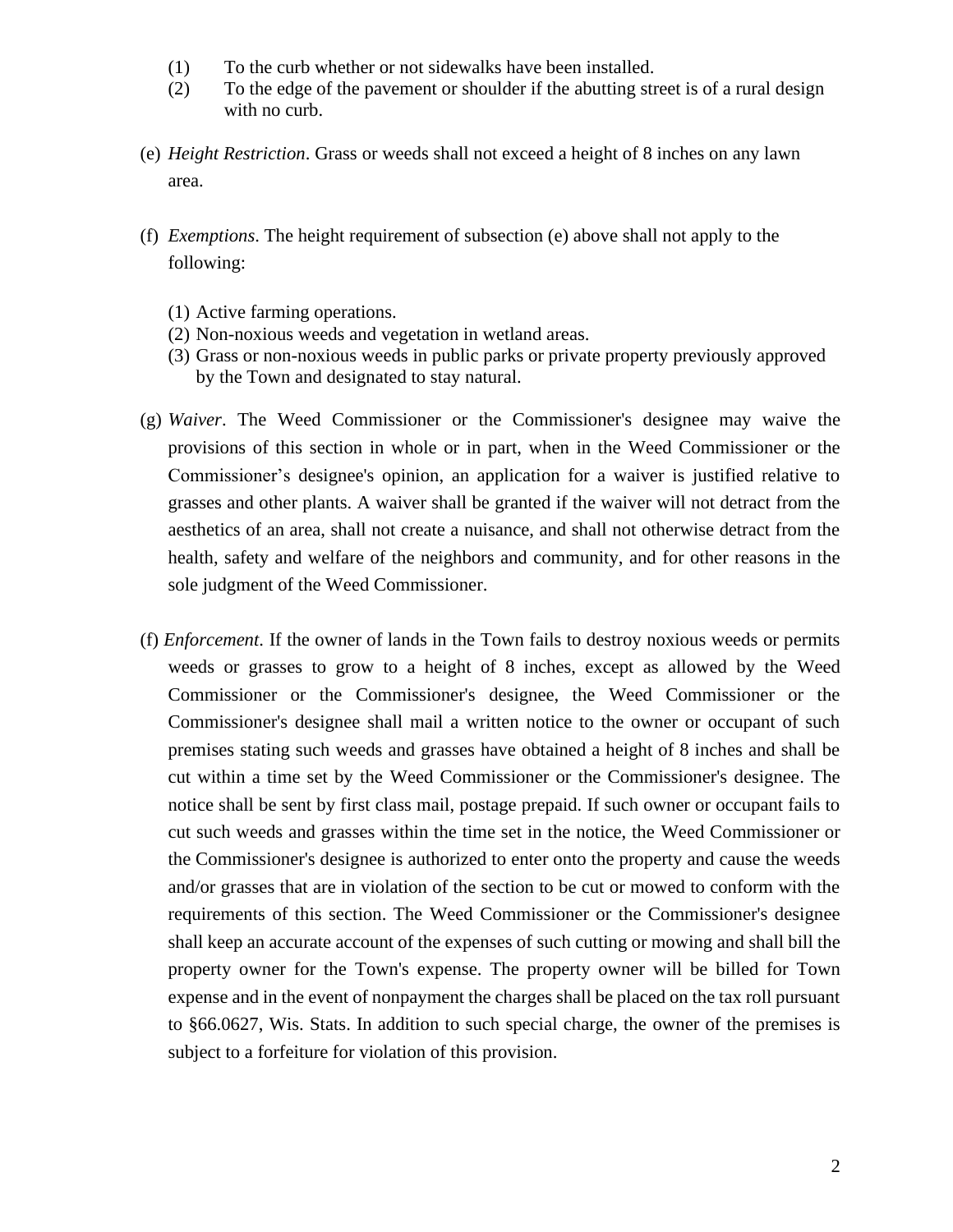- (1) To the curb whether or not sidewalks have been installed.
- (2) To the edge of the pavement or shoulder if the abutting street is of a rural design with no curb.
- (e) *Height Restriction*. Grass or weeds shall not exceed a height of 8 inches on any lawn area.
- (f) *Exemptions*. The height requirement of subsection (e) above shall not apply to the following:
	- (1) Active farming operations.
	- (2) Non-noxious weeds and vegetation in wetland areas.
	- (3) Grass or non-noxious weeds in public parks or private property previously approved by the Town and designated to stay natural.
- (g) *Waiver*. The Weed Commissioner or the Commissioner's designee may waive the provisions of this section in whole or in part, when in the Weed Commissioner or the Commissioner's designee's opinion, an application for a waiver is justified relative to grasses and other plants. A waiver shall be granted if the waiver will not detract from the aesthetics of an area, shall not create a nuisance, and shall not otherwise detract from the health, safety and welfare of the neighbors and community, and for other reasons in the sole judgment of the Weed Commissioner.
- (f) *Enforcement*. If the owner of lands in the Town fails to destroy noxious weeds or permits weeds or grasses to grow to a height of 8 inches, except as allowed by the Weed Commissioner or the Commissioner's designee, the Weed Commissioner or the Commissioner's designee shall mail a written notice to the owner or occupant of such premises stating such weeds and grasses have obtained a height of 8 inches and shall be cut within a time set by the Weed Commissioner or the Commissioner's designee. The notice shall be sent by first class mail, postage prepaid. If such owner or occupant fails to cut such weeds and grasses within the time set in the notice, the Weed Commissioner or the Commissioner's designee is authorized to enter onto the property and cause the weeds and/or grasses that are in violation of the section to be cut or mowed to conform with the requirements of this section. The Weed Commissioner or the Commissioner's designee shall keep an accurate account of the expenses of such cutting or mowing and shall bill the property owner for the Town's expense. The property owner will be billed for Town expense and in the event of nonpayment the charges shall be placed on the tax roll pursuant to §66.0627, Wis. Stats. In addition to such special charge, the owner of the premises is subject to a forfeiture for violation of this provision.